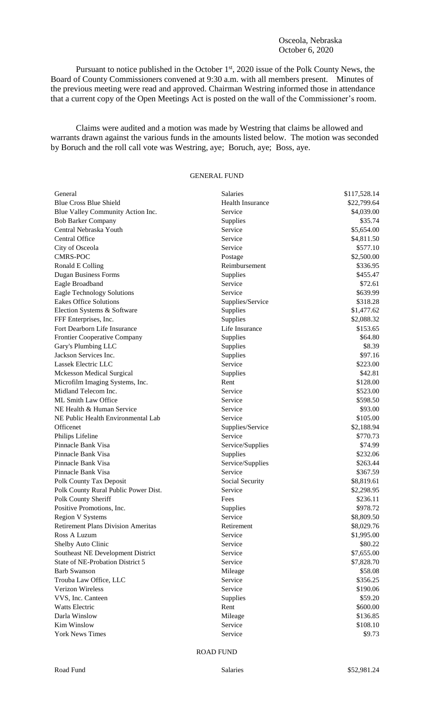## Osceola, Nebraska October 6, 2020

Pursuant to notice published in the October 1<sup>st</sup>, 2020 issue of the Polk County News, the Board of County Commissioners convened at 9:30 a.m. with all members present. Minutes of the previous meeting were read and approved. Chairman Westring informed those in attendance that a current copy of the Open Meetings Act is posted on the wall of the Commissioner's room.

Claims were audited and a motion was made by Westring that claims be allowed and warrants drawn against the various funds in the amounts listed below. The motion was seconded by Boruch and the roll call vote was Westring, aye; Boruch, aye; Boss, aye.

## GENERAL FUND

| General                                   | Salaries                | \$117,528.14 |
|-------------------------------------------|-------------------------|--------------|
| <b>Blue Cross Blue Shield</b>             | <b>Health Insurance</b> | \$22,799.64  |
| Blue Valley Community Action Inc.         | Service                 | \$4,039.00   |
| <b>Bob Barker Company</b>                 | Supplies                | \$35.74      |
| Central Nebraska Youth                    | Service                 | \$5,654.00   |
| Central Office                            | Service                 | \$4,811.50   |
| City of Osceola                           | Service                 | \$577.10     |
| <b>CMRS-POC</b>                           | Postage                 | \$2,500.00   |
| Ronald E Colling                          | Reimbursement           | \$336.95     |
| <b>Dugan Business Forms</b>               | Supplies                | \$455.47     |
| Eagle Broadband                           | Service                 | \$72.61      |
| <b>Eagle Technology Solutions</b>         | Service                 | \$639.99     |
| <b>Eakes Office Solutions</b>             | Supplies/Service        | \$318.28     |
| Election Systems & Software               | Supplies                | \$1,477.62   |
| FFF Enterprises, Inc.                     | Supplies                | \$2,088.32   |
| Fort Dearborn Life Insurance              | Life Insurance          | \$153.65     |
| Frontier Cooperative Company              | Supplies                | \$64.80      |
| Gary's Plumbing LLC                       | Supplies                | \$8.39       |
| Jackson Services Inc.                     | Supplies                | \$97.16      |
| Lassek Electric LLC                       | Service                 | \$223.00     |
| <b>Mckesson Medical Surgical</b>          | Supplies                | \$42.81      |
| Microfilm Imaging Systems, Inc.           | Rent                    | \$128.00     |
| Midland Telecom Inc.                      | Service                 | \$523.00     |
| ML Smith Law Office                       | Service                 | \$598.50     |
| NE Health & Human Service                 | Service                 | \$93.00      |
| NE Public Health Environmental Lab        | Service                 | \$105.00     |
| Officenet                                 | Supplies/Service        | \$2,188.94   |
| Philips Lifeline                          | Service                 | \$770.73     |
| Pinnacle Bank Visa                        | Service/Supplies        | \$74.99      |
| Pinnacle Bank Visa                        | Supplies                | \$232.06     |
| Pinnacle Bank Visa                        | Service/Supplies        | \$263.44     |
| Pinnacle Bank Visa                        | Service                 | \$367.59     |
| Polk County Tax Deposit                   | Social Security         | \$8,819.61   |
| Polk County Rural Public Power Dist.      | Service                 | \$2,298.95   |
| Polk County Sheriff                       | Fees                    | \$236.11     |
| Positive Promotions, Inc.                 | Supplies                | \$978.72     |
| <b>Region V Systems</b>                   | Service                 | \$8,809.50   |
| <b>Retirement Plans Division Ameritas</b> | Retirement              | \$8,029.76   |
| Ross A Luzum                              | Service                 | \$1,995.00   |
| Shelby Auto Clinic                        | Service                 | \$80.22      |
| Southeast NE Development District         | Service                 | \$7,655.00   |
| State of NE-Probation District 5          | Service                 | \$7,828.70   |
| <b>Barb Swanson</b>                       | Mileage                 | \$58.08      |
| Trouba Law Office, LLC                    | Service                 | \$356.25     |
| Verizon Wireless                          | Service                 | \$190.06     |
| VVS, Inc. Canteen                         | Supplies                | \$59.20      |
| Watts Electric                            | Rent                    | \$600.00     |
| Darla Winslow                             | Mileage                 | \$136.85     |
| <b>Kim Winslow</b>                        | Service                 | \$108.10     |
| <b>York News Times</b>                    | Service                 | \$9.73       |

ROAD FUND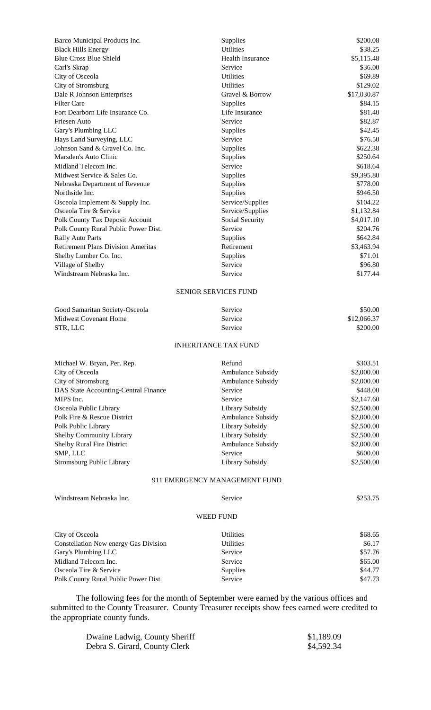| Barco Municipal Products Inc.               | Supplies                | \$200.08    |  |  |
|---------------------------------------------|-------------------------|-------------|--|--|
| <b>Black Hills Energy</b>                   | <b>Utilities</b>        | \$38.25     |  |  |
| <b>Blue Cross Blue Shield</b>               | <b>Health Insurance</b> | \$5,115.48  |  |  |
| Carl's Skrap                                | Service                 | \$36.00     |  |  |
| City of Osceola                             | Utilities               | \$69.89     |  |  |
| City of Stromsburg                          | Utilities               | \$129.02    |  |  |
| Dale R Johnson Enterprises                  | Gravel & Borrow         | \$17,030.87 |  |  |
| <b>Filter Care</b>                          | Supplies                | \$84.15     |  |  |
| Fort Dearborn Life Insurance Co.            | Life Insurance          | \$81.40     |  |  |
| Friesen Auto                                | Service                 | \$82.87     |  |  |
| Gary's Plumbing LLC                         | Supplies                | \$42.45     |  |  |
| Hays Land Surveying, LLC                    | Service                 | \$76.50     |  |  |
| Johnson Sand & Gravel Co. Inc.              | Supplies                | \$622.38    |  |  |
| Marsden's Auto Clinic                       | Supplies                | \$250.64    |  |  |
| Midland Telecom Inc.                        | Service                 | \$618.64    |  |  |
| Midwest Service & Sales Co.                 | Supplies                | \$9,395.80  |  |  |
| Nebraska Department of Revenue              | Supplies                | \$778.00    |  |  |
| Northside Inc.                              | Supplies                | \$946.50    |  |  |
| Osceola Implement & Supply Inc.             | Service/Supplies        | \$104.22    |  |  |
| Osceola Tire & Service                      | Service/Supplies        | \$1,132.84  |  |  |
| Polk County Tax Deposit Account             | Social Security         | \$4,017.10  |  |  |
| Polk County Rural Public Power Dist.        | Service                 | \$204.76    |  |  |
| Rally Auto Parts                            | Supplies                | \$642.84    |  |  |
| <b>Retirement Plans Division Ameritas</b>   | Retirement              | \$3,463.94  |  |  |
| Shelby Lumber Co. Inc.                      | Supplies                | \$71.01     |  |  |
| Village of Shelby                           | Service                 | \$96.80     |  |  |
| Windstream Nebraska Inc.                    | Service                 | \$177.44    |  |  |
| <b>SENIOR SERVICES FUND</b>                 |                         |             |  |  |
| Good Samaritan Society-Osceola              | Service                 | \$50.00     |  |  |
| <b>Midwest Covenant Home</b>                | Service                 | \$12,066.37 |  |  |
| STR, LLC                                    | Service                 | \$200.00    |  |  |
| <b>INHERITANCE TAX FUND</b>                 |                         |             |  |  |
| Michael W. Bryan, Per. Rep.                 | Refund                  | \$303.51    |  |  |
| City of Osceola                             | Ambulance Subsidy       | \$2,000.00  |  |  |
| City of Stromsburg                          | Ambulance Subsidy       | \$2,000.00  |  |  |
| <b>DAS State Accounting-Central Finance</b> | Service                 | \$448.00    |  |  |
| MIPS Inc.                                   | Service                 | \$2,147.60  |  |  |
| Osceola Public Library                      | Library Subsidy         | \$2,500.00  |  |  |
| Polk Fire & Rescue District                 | Ambulance Subsidy       | \$2,000.00  |  |  |
| Polk Public Library                         | Library Subsidy         | \$2,500.00  |  |  |
| Shelby Community Library                    | Library Subsidy         | \$2,500.00  |  |  |
| Shelby Rural Fire District                  | Ambulance Subsidy       | \$2,000.00  |  |  |
| SMP, LLC                                    | Service                 | \$600.00    |  |  |
| <b>Stromsburg Public Library</b>            | Library Subsidy         | \$2,500.00  |  |  |
| 911 EMERGENCY MANAGEMENT FUND               |                         |             |  |  |

| Windstream Nebraska Inc.              | Service          | \$253.75 |
|---------------------------------------|------------------|----------|
|                                       | <b>WEED FUND</b> |          |
| City of Osceola                       | <b>Utilities</b> | \$68.65  |
| Constellation New energy Gas Division | <b>Utilities</b> | \$6.17   |
| Gary's Plumbing LLC                   | Service          | \$57.76  |
| Midland Telecom Inc.                  | Service          | \$65.00  |
| Osceola Tire & Service                | Supplies         | \$44.77  |
| Polk County Rural Public Power Dist.  | Service          | \$47.73  |

The following fees for the month of September were earned by the various offices and submitted to the County Treasurer. County Treasurer receipts show fees earned were credited to the appropriate county funds.

| Dwaine Ladwig, County Sheriff | \$1,189.09 |
|-------------------------------|------------|
| Debra S. Girard, County Clerk | \$4,592.34 |